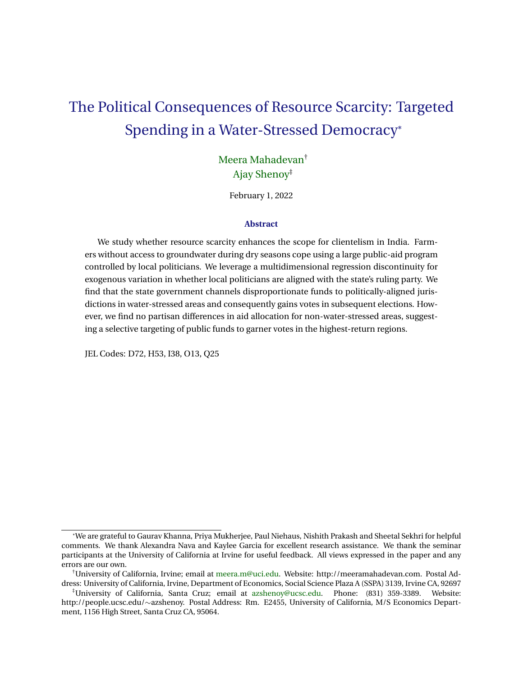# The Political Consequences of Resource Scarcity: Targeted Spending in a Water-Stressed Democracy\*

# [Meera Mahadevan](https://sites.google.com/view/meeram/home)† [Ajay Shenoy](http://people.ucsc.edu/~azshenoy)‡

February 1, 2022

### **Abstract**

We study whether resource scarcity enhances the scope for clientelism in India. Farmers without access to groundwater during dry seasons cope using a large public-aid program controlled by local politicians. We leverage a multidimensional regression discontinuity for exogenous variation in whether local politicians are aligned with the state's ruling party. We find that the state government channels disproportionate funds to politically-aligned jurisdictions in water-stressed areas and consequently gains votes in subsequent elections. However, we find no partisan differences in aid allocation for non-water-stressed areas, suggesting a selective targeting of public funds to garner votes in the highest-return regions.

JEL Codes: D72, H53, I38, O13, Q25

<sup>\*</sup>We are grateful to Gaurav Khanna, Priya Mukherjee, Paul Niehaus, Nishith Prakash and Sheetal Sekhri for helpful comments. We thank Alexandra Nava and Kaylee Garcia for excellent research assistance. We thank the seminar participants at the University of California at Irvine for useful feedback. All views expressed in the paper and any errors are our own.

<sup>†</sup>University of California, Irvine; email at [meera.m@uci.edu.](mailto:meera.m@uci.edu) Website: http://meeramahadevan.com. Postal Address: University of California, Irvine, Department of Economics, Social Science Plaza A (SSPA) 3139, Irvine CA, 92697

<sup>‡</sup>University of California, Santa Cruz; email at [azshenoy@ucsc.edu.](mailto:azshenoy@ucsc.edu) Phone: (831) 359-3389. Website: http://people.ucsc.edu/∼azshenoy. Postal Address: Rm. E2455, University of California, M/S Economics Department, 1156 High Street, Santa Cruz CA, 95064.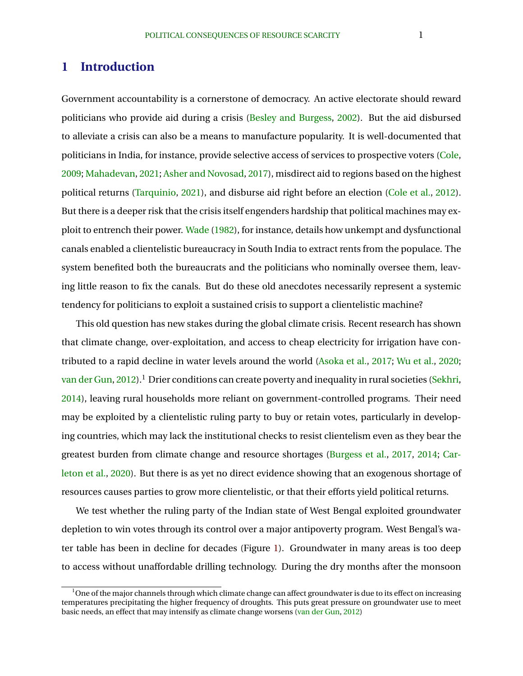# **1 Introduction**

Government accountability is a cornerstone of democracy. An active electorate should reward politicians who provide aid during a crisis [\(Besley and Burgess,](#page-20-0) [2002\)](#page-20-0). But the aid disbursed to alleviate a crisis can also be a means to manufacture popularity. It is well-documented that politicians in India, for instance, provide selective access of services to prospective voters [\(Cole,](#page-21-0) [2009;](#page-21-0) [Mahadevan,](#page-23-0) [2021;](#page-23-0) [Asher and Novosad,](#page-20-0) [2017\)](#page-20-0), misdirect aid to regions based on the highest political returns [\(Tarquinio,](#page-24-0) [2021\)](#page-24-0), and disburse aid right before an election [\(Cole et al.,](#page-21-0) [2012\)](#page-21-0). But there is a deeper risk that the crisis itself engenders hardship that political machines may exploit to entrench their power. [Wade](#page-24-0) [\(1982\)](#page-24-0), for instance, details how unkempt and dysfunctional canals enabled a clientelistic bureaucracy in South India to extract rents from the populace. The system benefited both the bureaucrats and the politicians who nominally oversee them, leaving little reason to fix the canals. But do these old anecdotes necessarily represent a systemic tendency for politicians to exploit a sustained crisis to support a clientelistic machine?

This old question has new stakes during the global climate crisis. Recent research has shown that climate change, over-exploitation, and access to cheap electricity for irrigation have contributed to a rapid decline in water levels around the world [\(Asoka et al.,](#page-20-0) [2017;](#page-20-0) [Wu et al.,](#page-24-0) [2020;](#page-24-0) [van der Gun,](#page-24-0) [2012\)](#page-24-0).<sup>1</sup> Drier conditions can create poverty and inequality in rural societies [\(Sekhri,](#page-23-0) [2014\)](#page-23-0), leaving rural households more reliant on government-controlled programs. Their need may be exploited by a clientelistic ruling party to buy or retain votes, particularly in developing countries, which may lack the institutional checks to resist clientelism even as they bear the greatest burden from climate change and resource shortages [\(Burgess et al.,](#page-20-0) [2017,](#page-20-0) [2014;](#page-20-0) [Car](#page-21-0)[leton et al.,](#page-21-0) [2020\)](#page-21-0). But there is as yet no direct evidence showing that an exogenous shortage of resources causes parties to grow more clientelistic, or that their efforts yield political returns.

We test whether the ruling party of the Indian state of West Bengal exploited groundwater depletion to win votes through its control over a major antipoverty program. West Bengal's water table has been in decline for decades (Figure [1\)](#page-15-0). Groundwater in many areas is too deep to access without unaffordable drilling technology. During the dry months after the monsoon

 $^1$ One of the major channels through which climate change can affect groundwater is due to its effect on increasing temperatures precipitating the higher frequency of droughts. This puts great pressure on groundwater use to meet basic needs, an effect that may intensify as climate change worsens [\(van der Gun,](#page-24-0) [2012\)](#page-24-0)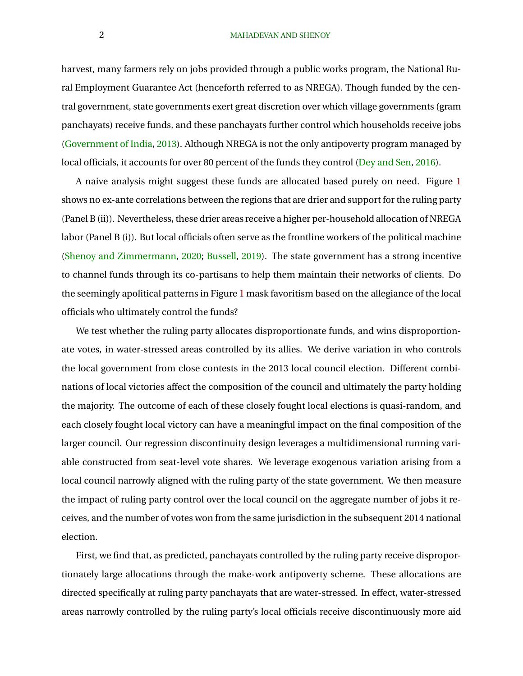### 2 MAHADEVAN AND SHENOY

harvest, many farmers rely on jobs provided through a public works program, the National Rural Employment Guarantee Act (henceforth referred to as NREGA). Though funded by the central government, state governments exert great discretion over which village governments (gram panchayats) receive funds, and these panchayats further control which households receive jobs [\(Government of India,](#page-22-0) [2013\)](#page-22-0). Although NREGA is not the only antipoverty program managed by local officials, it accounts for over 80 percent of the funds they control [\(Dey and Sen,](#page-21-0) [2016\)](#page-21-0).

A naive analysis might suggest these funds are allocated based purely on need. Figure [1](#page-15-0) shows no ex-ante correlations between the regions that are drier and support for the ruling party (Panel B (ii)). Nevertheless, these drier areas receive a higher per-household allocation of NREGA labor (Panel B (i)). But local officials often serve as the frontline workers of the political machine [\(Shenoy and Zimmermann,](#page-23-0) [2020;](#page-23-0) [Bussell,](#page-20-0) [2019\)](#page-20-0). The state government has a strong incentive to channel funds through its co-partisans to help them maintain their networks of clients. Do the seemingly apolitical patterns in Figure [1](#page-15-0) mask favoritism based on the allegiance of the local officials who ultimately control the funds?

We test whether the ruling party allocates disproportionate funds, and wins disproportionate votes, in water-stressed areas controlled by its allies. We derive variation in who controls the local government from close contests in the 2013 local council election. Different combinations of local victories affect the composition of the council and ultimately the party holding the majority. The outcome of each of these closely fought local elections is quasi-random, and each closely fought local victory can have a meaningful impact on the final composition of the larger council. Our regression discontinuity design leverages a multidimensional running variable constructed from seat-level vote shares. We leverage exogenous variation arising from a local council narrowly aligned with the ruling party of the state government. We then measure the impact of ruling party control over the local council on the aggregate number of jobs it receives, and the number of votes won from the same jurisdiction in the subsequent 2014 national election.

First, we find that, as predicted, panchayats controlled by the ruling party receive disproportionately large allocations through the make-work antipoverty scheme. These allocations are directed specifically at ruling party panchayats that are water-stressed. In effect, water-stressed areas narrowly controlled by the ruling party's local officials receive discontinuously more aid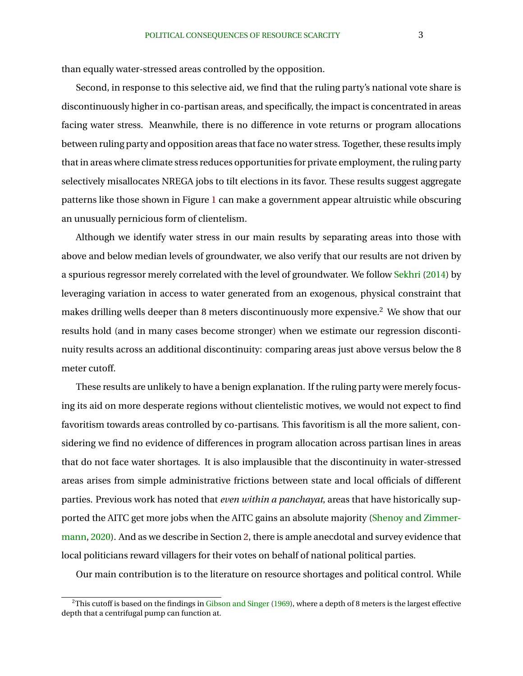than equally water-stressed areas controlled by the opposition.

Second, in response to this selective aid, we find that the ruling party's national vote share is discontinuously higher in co-partisan areas, and specifically, the impact is concentrated in areas facing water stress. Meanwhile, there is no difference in vote returns or program allocations between ruling party and opposition areas that face no water stress. Together, these results imply that in areas where climate stress reduces opportunities for private employment, the ruling party selectively misallocates NREGA jobs to tilt elections in its favor. These results suggest aggregate patterns like those shown in Figure [1](#page-15-0) can make a government appear altruistic while obscuring an unusually pernicious form of clientelism.

Although we identify water stress in our main results by separating areas into those with above and below median levels of groundwater, we also verify that our results are not driven by a spurious regressor merely correlated with the level of groundwater. We follow [Sekhri](#page-23-0) [\(2014\)](#page-23-0) by leveraging variation in access to water generated from an exogenous, physical constraint that makes drilling wells deeper than 8 meters discontinuously more expensive.<sup>2</sup> We show that our results hold (and in many cases become stronger) when we estimate our regression discontinuity results across an additional discontinuity: comparing areas just above versus below the 8 meter cutoff.

These results are unlikely to have a benign explanation. If the ruling party were merely focusing its aid on more desperate regions without clientelistic motives, we would not expect to find favoritism towards areas controlled by co-partisans. This favoritism is all the more salient, considering we find no evidence of differences in program allocation across partisan lines in areas that do not face water shortages. It is also implausible that the discontinuity in water-stressed areas arises from simple administrative frictions between state and local officials of different parties. Previous work has noted that *even within a panchayat*, areas that have historically supported the AITC get more jobs when the AITC gains an absolute majority [\(Shenoy and Zimmer](#page-23-0)[mann,](#page-23-0) [2020\)](#page-23-0). And as we describe in Section [2,](#page-5-0) there is ample anecdotal and survey evidence that local politicians reward villagers for their votes on behalf of national political parties.

Our main contribution is to the literature on resource shortages and political control. While

 $2$ This cutoff is based on the findings in [Gibson and Singer](#page-22-0) [\(1969\)](#page-22-0), where a depth of 8 meters is the largest effective depth that a centrifugal pump can function at.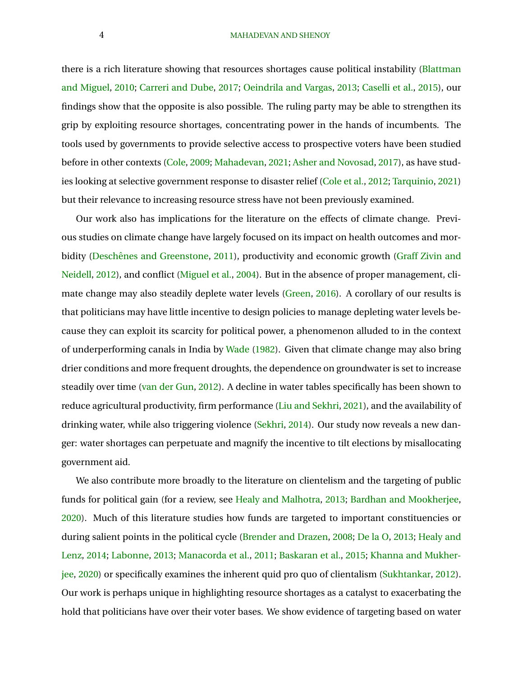#### 4 MAHADEVAN AND SHENOY

there is a rich literature showing that resources shortages cause political instability [\(Blattman](#page-20-0) [and Miguel,](#page-20-0) [2010;](#page-20-0) [Carreri and Dube,](#page-21-0) [2017;](#page-21-0) [Oeindrila and Vargas,](#page-23-0) [2013;](#page-23-0) [Caselli et al.,](#page-21-0) [2015\)](#page-21-0), our findings show that the opposite is also possible. The ruling party may be able to strengthen its grip by exploiting resource shortages, concentrating power in the hands of incumbents. The tools used by governments to provide selective access to prospective voters have been studied before in other contexts [\(Cole,](#page-21-0) [2009;](#page-21-0) [Mahadevan,](#page-23-0) [2021;](#page-23-0) [Asher and Novosad,](#page-20-0) [2017\)](#page-20-0), as have studies looking at selective government response to disaster relief [\(Cole et al.,](#page-21-0) [2012;](#page-21-0) [Tarquinio,](#page-24-0) [2021\)](#page-24-0) but their relevance to increasing resource stress have not been previously examined.

Our work also has implications for the literature on the effects of climate change. Previous studies on climate change have largely focused on its impact on health outcomes and mor-bidity (Deschênes and Greenstone, [2011\)](#page-21-0), productivity and economic growth [\(Graff Zivin and](#page-24-0) [Neidell,](#page-24-0) [2012\)](#page-24-0), and conflict [\(Miguel et al.,](#page-23-0) [2004\)](#page-23-0). But in the absence of proper management, climate change may also steadily deplete water levels [\(Green,](#page-22-0) [2016\)](#page-22-0). A corollary of our results is that politicians may have little incentive to design policies to manage depleting water levels because they can exploit its scarcity for political power, a phenomenon alluded to in the context of underperforming canals in India by [Wade](#page-24-0) [\(1982\)](#page-24-0). Given that climate change may also bring drier conditions and more frequent droughts, the dependence on groundwater is set to increase steadily over time [\(van der Gun,](#page-24-0) [2012\)](#page-24-0). A decline in water tables specifically has been shown to reduce agricultural productivity, firm performance [\(Liu and Sekhri,](#page-22-0) [2021\)](#page-22-0), and the availability of drinking water, while also triggering violence [\(Sekhri,](#page-23-0) [2014\)](#page-23-0). Our study now reveals a new danger: water shortages can perpetuate and magnify the incentive to tilt elections by misallocating government aid.

We also contribute more broadly to the literature on clientelism and the targeting of public funds for political gain (for a review, see [Healy and Malhotra,](#page-22-0) [2013;](#page-22-0) [Bardhan and Mookherjee,](#page-20-0) [2020\)](#page-20-0). Much of this literature studies how funds are targeted to important constituencies or during salient points in the political cycle [\(Brender and Drazen,](#page-20-0) [2008;](#page-20-0) [De la O,](#page-21-0) [2013;](#page-21-0) [Healy and](#page-22-0) [Lenz,](#page-22-0) [2014;](#page-22-0) [Labonne,](#page-22-0) [2013;](#page-22-0) [Manacorda et al.,](#page-23-0) [2011;](#page-23-0) [Baskaran et al.,](#page-20-0) [2015;](#page-20-0) [Khanna and Mukher](#page-22-0)[jee,](#page-22-0) [2020\)](#page-22-0) or specifically examines the inherent quid pro quo of clientalism [\(Sukhtankar,](#page-23-0) [2012\)](#page-23-0). Our work is perhaps unique in highlighting resource shortages as a catalyst to exacerbating the hold that politicians have over their voter bases. We show evidence of targeting based on water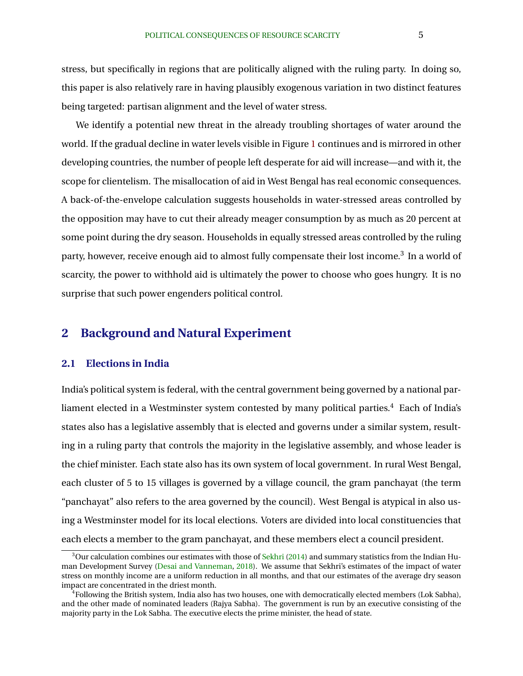<span id="page-5-0"></span>stress, but specifically in regions that are politically aligned with the ruling party. In doing so, this paper is also relatively rare in having plausibly exogenous variation in two distinct features being targeted: partisan alignment and the level of water stress.

We identify a potential new threat in the already troubling shortages of water around the world. If the gradual decline in water levels visible in Figure [1](#page-15-0) continues and is mirrored in other developing countries, the number of people left desperate for aid will increase—and with it, the scope for clientelism. The misallocation of aid in West Bengal has real economic consequences. A back-of-the-envelope calculation suggests households in water-stressed areas controlled by the opposition may have to cut their already meager consumption by as much as 20 percent at some point during the dry season. Households in equally stressed areas controlled by the ruling party, however, receive enough aid to almost fully compensate their lost income. $^3\,$  In a world of scarcity, the power to withhold aid is ultimately the power to choose who goes hungry. It is no surprise that such power engenders political control.

# **2 Background and Natural Experiment**

### **2.1 Elections in India**

India's political system is federal, with the central government being governed by a national parliament elected in a Westminster system contested by many political parties.<sup>4</sup> Each of India's states also has a legislative assembly that is elected and governs under a similar system, resulting in a ruling party that controls the majority in the legislative assembly, and whose leader is the chief minister. Each state also has its own system of local government. In rural West Bengal, each cluster of 5 to 15 villages is governed by a village council, the gram panchayat (the term "panchayat" also refers to the area governed by the council). West Bengal is atypical in also using a Westminster model for its local elections. Voters are divided into local constituencies that each elects a member to the gram panchayat, and these members elect a council president.

 $3$ Our calculation combines our estimates with those of [Sekhri](#page-23-0) [\(2014\)](#page-23-0) and summary statistics from the Indian Human Development Survey [\(Desai and Vanneman,](#page-21-0) [2018\)](#page-21-0). We assume that Sekhri's estimates of the impact of water stress on monthly income are a uniform reduction in all months, and that our estimates of the average dry season impact are concentrated in the driest month.

<sup>4</sup>Following the British system, India also has two houses, one with democratically elected members (Lok Sabha), and the other made of nominated leaders (Rajya Sabha). The government is run by an executive consisting of the majority party in the Lok Sabha. The executive elects the prime minister, the head of state.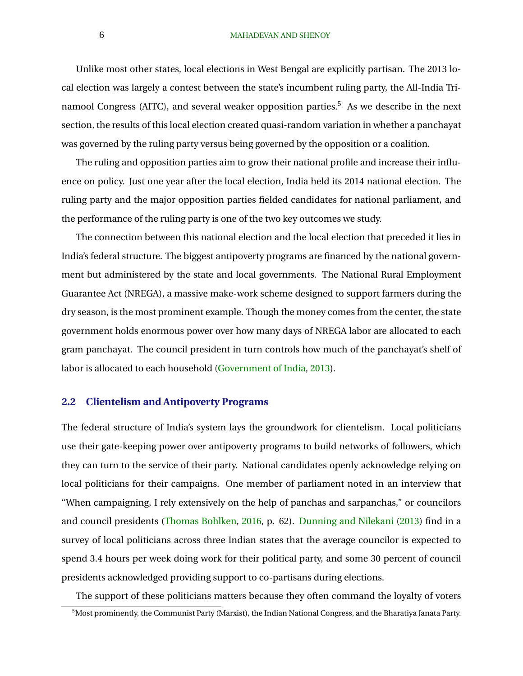### 6 MAHADEVAN AND SHENOY

Unlike most other states, local elections in West Bengal are explicitly partisan. The 2013 local election was largely a contest between the state's incumbent ruling party, the All-India Trinamool Congress (AITC), and several weaker opposition parties.<sup>5</sup> As we describe in the next section, the results of this local election created quasi-random variation in whether a panchayat was governed by the ruling party versus being governed by the opposition or a coalition.

The ruling and opposition parties aim to grow their national profile and increase their influence on policy. Just one year after the local election, India held its 2014 national election. The ruling party and the major opposition parties fielded candidates for national parliament, and the performance of the ruling party is one of the two key outcomes we study.

The connection between this national election and the local election that preceded it lies in India's federal structure. The biggest antipoverty programs are financed by the national government but administered by the state and local governments. The National Rural Employment Guarantee Act (NREGA), a massive make-work scheme designed to support farmers during the dry season, is the most prominent example. Though the money comes from the center, the state government holds enormous power over how many days of NREGA labor are allocated to each gram panchayat. The council president in turn controls how much of the panchayat's shelf of labor is allocated to each household [\(Government of India,](#page-22-0) [2013\)](#page-22-0).

### **2.2 Clientelism and Antipoverty Programs**

The federal structure of India's system lays the groundwork for clientelism. Local politicians use their gate-keeping power over antipoverty programs to build networks of followers, which they can turn to the service of their party. National candidates openly acknowledge relying on local politicians for their campaigns. One member of parliament noted in an interview that "When campaigning, I rely extensively on the help of panchas and sarpanchas," or councilors and council presidents [\(Thomas Bohlken,](#page-24-0) [2016,](#page-24-0) p. 62). [Dunning and Nilekani](#page-21-0) [\(2013\)](#page-21-0) find in a survey of local politicians across three Indian states that the average councilor is expected to spend 3.4 hours per week doing work for their political party, and some 30 percent of council presidents acknowledged providing support to co-partisans during elections.

The support of these politicians matters because they often command the loyalty of voters

 $^5$ Most prominently, the Communist Party (Marxist), the Indian National Congress, and the Bharatiya Janata Party.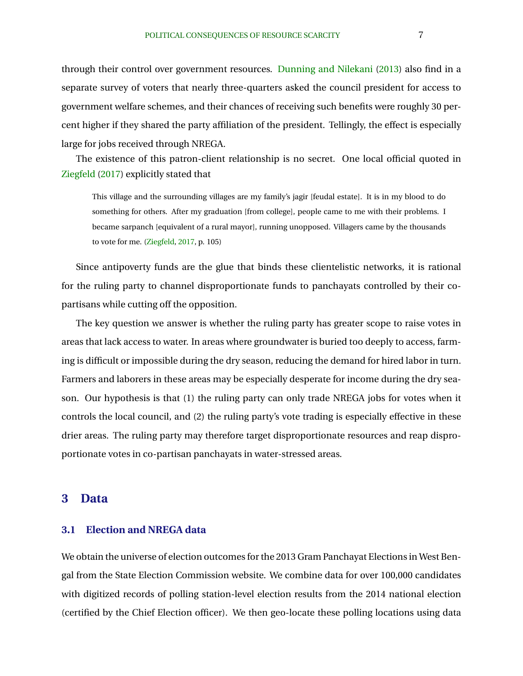through their control over government resources. [Dunning and Nilekani](#page-21-0) [\(2013\)](#page-21-0) also find in a separate survey of voters that nearly three-quarters asked the council president for access to government welfare schemes, and their chances of receiving such benefits were roughly 30 percent higher if they shared the party affiliation of the president. Tellingly, the effect is especially large for jobs received through NREGA.

The existence of this patron-client relationship is no secret. One local official quoted in [Ziegfeld](#page-24-0) [\(2017\)](#page-24-0) explicitly stated that

This village and the surrounding villages are my family's jagir [feudal estate]. It is in my blood to do something for others. After my graduation [from college], people came to me with their problems. I became sarpanch [equivalent of a rural mayor], running unopposed. Villagers came by the thousands to vote for me. [\(Ziegfeld,](#page-24-0) [2017,](#page-24-0) p. 105)

Since antipoverty funds are the glue that binds these clientelistic networks, it is rational for the ruling party to channel disproportionate funds to panchayats controlled by their copartisans while cutting off the opposition.

The key question we answer is whether the ruling party has greater scope to raise votes in areas that lack access to water. In areas where groundwater is buried too deeply to access, farming is difficult or impossible during the dry season, reducing the demand for hired labor in turn. Farmers and laborers in these areas may be especially desperate for income during the dry season. Our hypothesis is that (1) the ruling party can only trade NREGA jobs for votes when it controls the local council, and (2) the ruling party's vote trading is especially effective in these drier areas. The ruling party may therefore target disproportionate resources and reap disproportionate votes in co-partisan panchayats in water-stressed areas.

### **3 Data**

### **3.1 Election and NREGA data**

We obtain the universe of election outcomes for the 2013 Gram Panchayat Elections in West Bengal from the State Election Commission website. We combine data for over 100,000 candidates with digitized records of polling station-level election results from the 2014 national election (certified by the Chief Election officer). We then geo-locate these polling locations using data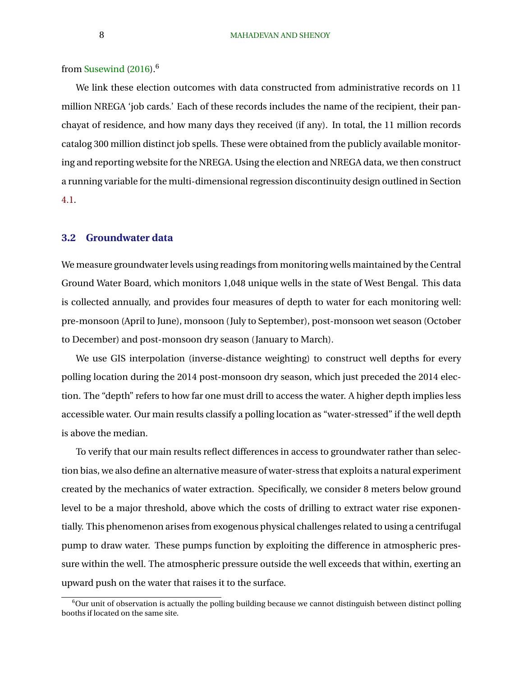from [Susewind](#page-23-0) [\(2016\)](#page-23-0).<sup>6</sup>

We link these election outcomes with data constructed from administrative records on 11 million NREGA 'job cards.' Each of these records includes the name of the recipient, their panchayat of residence, and how many days they received (if any). In total, the 11 million records catalog 300 million distinct job spells. These were obtained from the publicly available monitoring and reporting website for the NREGA. Using the election and NREGA data, we then construct a running variable for the multi-dimensional regression discontinuity design outlined in Section [4.1.](#page-9-0)

### **3.2 Groundwater data**

We measure groundwater levels using readings from monitoring wells maintained by the Central Ground Water Board, which monitors 1,048 unique wells in the state of West Bengal. This data is collected annually, and provides four measures of depth to water for each monitoring well: pre-monsoon (April to June), monsoon (July to September), post-monsoon wet season (October to December) and post-monsoon dry season (January to March).

We use GIS interpolation (inverse-distance weighting) to construct well depths for every polling location during the 2014 post-monsoon dry season, which just preceded the 2014 election. The "depth" refers to how far one must drill to access the water. A higher depth implies less accessible water. Our main results classify a polling location as "water-stressed" if the well depth is above the median.

To verify that our main results reflect differences in access to groundwater rather than selection bias, we also define an alternative measure of water-stress that exploits a natural experiment created by the mechanics of water extraction. Specifically, we consider 8 meters below ground level to be a major threshold, above which the costs of drilling to extract water rise exponentially. This phenomenon arises from exogenous physical challenges related to using a centrifugal pump to draw water. These pumps function by exploiting the difference in atmospheric pressure within the well. The atmospheric pressure outside the well exceeds that within, exerting an upward push on the water that raises it to the surface.

 $6$ Our unit of observation is actually the polling building because we cannot distinguish between distinct polling booths if located on the same site.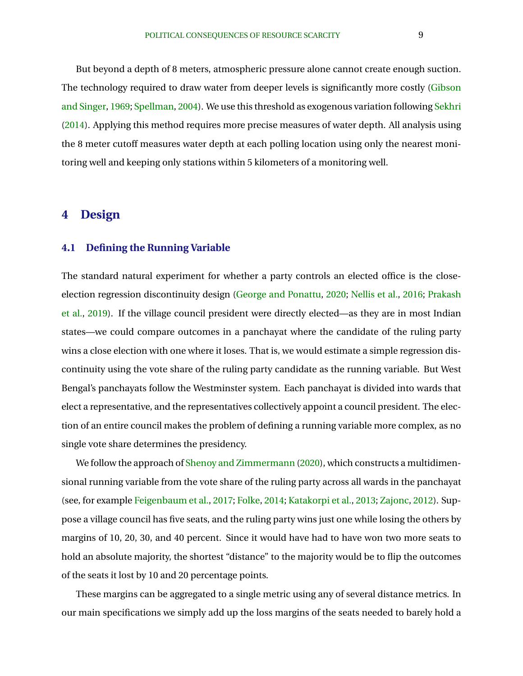<span id="page-9-0"></span>But beyond a depth of 8 meters, atmospheric pressure alone cannot create enough suction. The technology required to draw water from deeper levels is significantly more costly [\(Gibson](#page-22-0) [and Singer,](#page-22-0) [1969;](#page-22-0) [Spellman,](#page-23-0) [2004\)](#page-23-0). We use this threshold as exogenous variation following [Sekhri](#page-23-0) [\(2014\)](#page-23-0). Applying this method requires more precise measures of water depth. All analysis using the 8 meter cutoff measures water depth at each polling location using only the nearest monitoring well and keeping only stations within 5 kilometers of a monitoring well.

## **4 Design**

### **4.1 Defining the Running Variable**

The standard natural experiment for whether a party controls an elected office is the closeelection regression discontinuity design [\(George and Ponattu,](#page-22-0) [2020;](#page-22-0) [Nellis et al.,](#page-23-0) [2016;](#page-23-0) [Prakash](#page-23-0) [et al.,](#page-23-0) [2019\)](#page-23-0). If the village council president were directly elected—as they are in most Indian states—we could compare outcomes in a panchayat where the candidate of the ruling party wins a close election with one where it loses. That is, we would estimate a simple regression discontinuity using the vote share of the ruling party candidate as the running variable. But West Bengal's panchayats follow the Westminster system. Each panchayat is divided into wards that elect a representative, and the representatives collectively appoint a council president. The election of an entire council makes the problem of defining a running variable more complex, as no single vote share determines the presidency.

We follow the approach of [Shenoy and Zimmermann](#page-23-0) [\(2020\)](#page-23-0), which constructs a multidimensional running variable from the vote share of the ruling party across all wards in the panchayat (see, for example [Feigenbaum et al.,](#page-22-0) [2017;](#page-22-0) [Folke,](#page-22-0) [2014;](#page-22-0) [Katakorpi et al.,](#page-22-0) [2013;](#page-22-0) [Zajonc,](#page-24-0) [2012\)](#page-24-0). Suppose a village council has five seats, and the ruling party wins just one while losing the others by margins of 10, 20, 30, and 40 percent. Since it would have had to have won two more seats to hold an absolute majority, the shortest "distance" to the majority would be to flip the outcomes of the seats it lost by 10 and 20 percentage points.

These margins can be aggregated to a single metric using any of several distance metrics. In our main specifications we simply add up the loss margins of the seats needed to barely hold a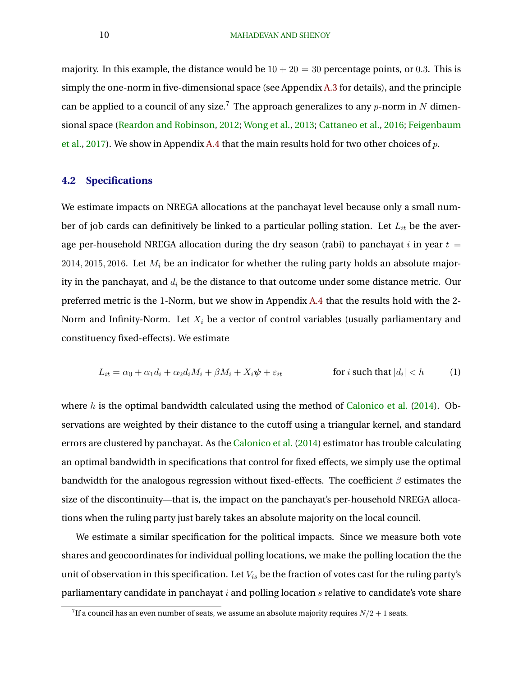<span id="page-10-0"></span>majority. In this example, the distance would be  $10 + 20 = 30$  percentage points, or 0.3. This is simply the one-norm in five-dimensional space (see Appendix [A.3](#page-29-0) for details), and the principle can be applied to a council of any size.<sup>7</sup> The approach generalizes to any  $p$ -norm in N dimensional space [\(Reardon and Robinson,](#page-23-0) [2012;](#page-23-0) [Wong et al.,](#page-24-0) [2013;](#page-24-0) [Cattaneo et al.,](#page-21-0) [2016;](#page-21-0) [Feigenbaum](#page-22-0) [et al.,](#page-22-0) [2017\)](#page-22-0). We show in Appendix [A.4](#page-29-0) that the main results hold for two other choices of p.

### **4.2 Specifications**

We estimate impacts on NREGA allocations at the panchayat level because only a small number of job cards can definitively be linked to a particular polling station. Let  $L_{it}$  be the average per-household NREGA allocation during the dry season (rabi) to panchayat i in year  $t =$ 2014, 2015, 2016. Let  $M_i$  be an indicator for whether the ruling party holds an absolute majority in the panchayat, and  $d_i$  be the distance to that outcome under some distance metric. Our preferred metric is the 1-Norm, but we show in Appendix [A.4](#page-29-0) that the results hold with the 2- Norm and Infinity-Norm. Let  $X_i$  be a vector of control variables (usually parliamentary and constituency fixed-effects). We estimate

$$
L_{it} = \alpha_0 + \alpha_1 d_i + \alpha_2 d_i M_i + \beta M_i + X_i \psi + \varepsilon_{it} \qquad \text{for } i \text{ such that } |d_i| < h \qquad (1)
$$

where h is the optimal bandwidth calculated using the method of [Calonico et al.](#page-20-0)  $(2014)$ . Observations are weighted by their distance to the cutoff using a triangular kernel, and standard errors are clustered by panchayat. As the [Calonico et al.](#page-20-0) [\(2014\)](#page-20-0) estimator has trouble calculating an optimal bandwidth in specifications that control for fixed effects, we simply use the optimal bandwidth for the analogous regression without fixed-effects. The coefficient  $\beta$  estimates the size of the discontinuity—that is, the impact on the panchayat's per-household NREGA allocations when the ruling party just barely takes an absolute majority on the local council.

We estimate a similar specification for the political impacts. Since we measure both vote shares and geocoordinates for individual polling locations, we make the polling location the the unit of observation in this specification. Let  $V_{is}$  be the fraction of votes cast for the ruling party's parliamentary candidate in panchayat  $i$  and polling location  $s$  relative to candidate's vote share

 $^{7}$ If a council has an even number of seats, we assume an absolute majority requires  $N/2+1$  seats.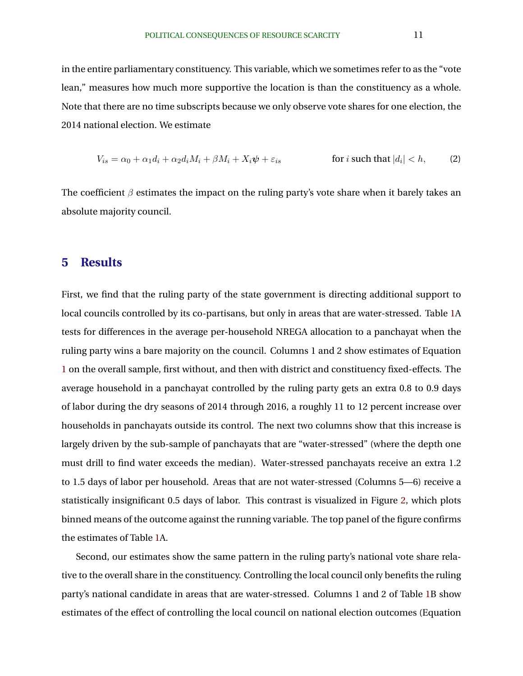<span id="page-11-0"></span>in the entire parliamentary constituency. This variable, which we sometimes refer to as the "vote lean," measures how much more supportive the location is than the constituency as a whole. Note that there are no time subscripts because we only observe vote shares for one election, the 2014 national election. We estimate

$$
V_{is} = \alpha_0 + \alpha_1 d_i + \alpha_2 d_i M_i + \beta M_i + X_i \psi + \varepsilon_{is} \qquad \text{for } i \text{ such that } |d_i| < h,\tag{2}
$$

The coefficient  $\beta$  estimates the impact on the ruling party's vote share when it barely takes an absolute majority council.

# **5 Results**

First, we find that the ruling party of the state government is directing additional support to local councils controlled by its co-partisans, but only in areas that are water-stressed. Table [1A](#page-18-0) tests for differences in the average per-household NREGA allocation to a panchayat when the ruling party wins a bare majority on the council. Columns 1 and 2 show estimates of Equation [1](#page-10-0) on the overall sample, first without, and then with district and constituency fixed-effects. The average household in a panchayat controlled by the ruling party gets an extra 0.8 to 0.9 days of labor during the dry seasons of 2014 through 2016, a roughly 11 to 12 percent increase over households in panchayats outside its control. The next two columns show that this increase is largely driven by the sub-sample of panchayats that are "water-stressed" (where the depth one must drill to find water exceeds the median). Water-stressed panchayats receive an extra 1.2 to 1.5 days of labor per household. Areas that are not water-stressed (Columns 5—6) receive a statistically insignificant 0.5 days of labor. This contrast is visualized in Figure [2,](#page-16-0) which plots binned means of the outcome against the running variable. The top panel of the figure confirms the estimates of Table [1A](#page-18-0).

Second, our estimates show the same pattern in the ruling party's national vote share relative to the overall share in the constituency. Controlling the local council only benefits the ruling party's national candidate in areas that are water-stressed. Columns 1 and 2 of Table [1B](#page-18-0) show estimates of the effect of controlling the local council on national election outcomes (Equation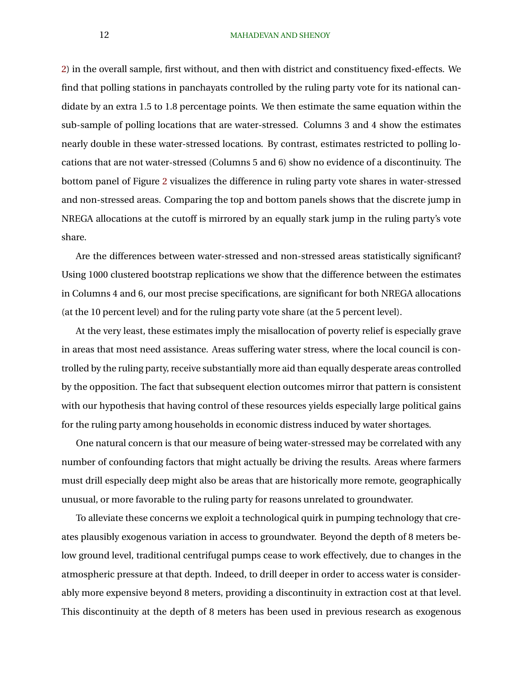#### 12 MAHADEVAN AND SHENOY

[2\)](#page-11-0) in the overall sample, first without, and then with district and constituency fixed-effects. We find that polling stations in panchayats controlled by the ruling party vote for its national candidate by an extra 1.5 to 1.8 percentage points. We then estimate the same equation within the sub-sample of polling locations that are water-stressed. Columns 3 and 4 show the estimates nearly double in these water-stressed locations. By contrast, estimates restricted to polling locations that are not water-stressed (Columns 5 and 6) show no evidence of a discontinuity. The bottom panel of Figure [2](#page-16-0) visualizes the difference in ruling party vote shares in water-stressed and non-stressed areas. Comparing the top and bottom panels shows that the discrete jump in NREGA allocations at the cutoff is mirrored by an equally stark jump in the ruling party's vote share.

Are the differences between water-stressed and non-stressed areas statistically significant? Using 1000 clustered bootstrap replications we show that the difference between the estimates in Columns 4 and 6, our most precise specifications, are significant for both NREGA allocations (at the 10 percent level) and for the ruling party vote share (at the 5 percent level).

At the very least, these estimates imply the misallocation of poverty relief is especially grave in areas that most need assistance. Areas suffering water stress, where the local council is controlled by the ruling party, receive substantially more aid than equally desperate areas controlled by the opposition. The fact that subsequent election outcomes mirror that pattern is consistent with our hypothesis that having control of these resources yields especially large political gains for the ruling party among households in economic distress induced by water shortages.

One natural concern is that our measure of being water-stressed may be correlated with any number of confounding factors that might actually be driving the results. Areas where farmers must drill especially deep might also be areas that are historically more remote, geographically unusual, or more favorable to the ruling party for reasons unrelated to groundwater.

To alleviate these concerns we exploit a technological quirk in pumping technology that creates plausibly exogenous variation in access to groundwater. Beyond the depth of 8 meters below ground level, traditional centrifugal pumps cease to work effectively, due to changes in the atmospheric pressure at that depth. Indeed, to drill deeper in order to access water is considerably more expensive beyond 8 meters, providing a discontinuity in extraction cost at that level. This discontinuity at the depth of 8 meters has been used in previous research as exogenous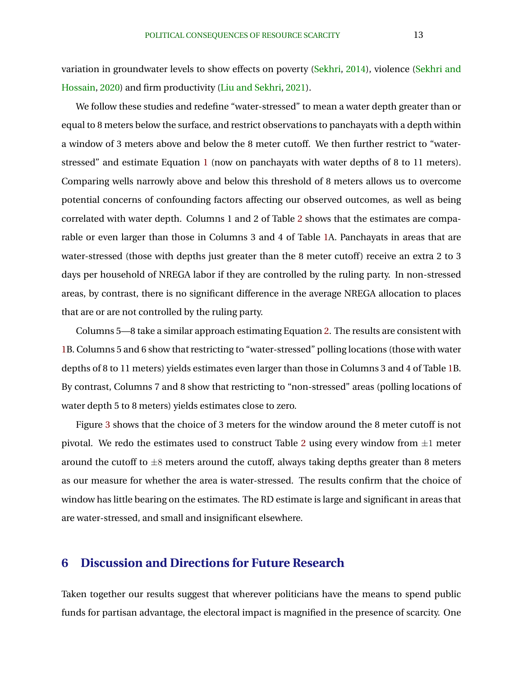variation in groundwater levels to show effects on poverty [\(Sekhri,](#page-23-0) [2014\)](#page-23-0), violence [\(Sekhri and](#page-23-0) [Hossain,](#page-23-0) [2020\)](#page-23-0) and firm productivity [\(Liu and Sekhri,](#page-22-0) [2021\)](#page-22-0).

We follow these studies and redefine "water-stressed" to mean a water depth greater than or equal to 8 meters below the surface, and restrict observations to panchayats with a depth within a window of 3 meters above and below the 8 meter cutoff. We then further restrict to "waterstressed" and estimate Equation [1](#page-10-0) (now on panchayats with water depths of 8 to 11 meters). Comparing wells narrowly above and below this threshold of 8 meters allows us to overcome potential concerns of confounding factors affecting our observed outcomes, as well as being correlated with water depth. Columns 1 and 2 of Table [2](#page-19-0) shows that the estimates are comparable or even larger than those in Columns 3 and 4 of Table [1A](#page-18-0). Panchayats in areas that are water-stressed (those with depths just greater than the 8 meter cutoff) receive an extra 2 to 3 days per household of NREGA labor if they are controlled by the ruling party. In non-stressed areas, by contrast, there is no significant difference in the average NREGA allocation to places that are or are not controlled by the ruling party.

Columns 5—8 take a similar approach estimating Equation [2.](#page-11-0) The results are consistent with [1B](#page-18-0). Columns 5 and 6 show that restricting to "water-stressed" polling locations (those with water depths of 8 to 11 meters) yields estimates even larger than those in Columns 3 and 4 of Table [1B](#page-18-0). By contrast, Columns 7 and 8 show that restricting to "non-stressed" areas (polling locations of water depth 5 to 8 meters) yields estimates close to zero.

Figure [3](#page-17-0) shows that the choice of 3 meters for the window around the 8 meter cutoff is not pivotal. We redo the estimates used to construct Table [2](#page-19-0) using every window from  $\pm 1$  meter around the cutoff to  $\pm 8$  meters around the cutoff, always taking depths greater than 8 meters as our measure for whether the area is water-stressed. The results confirm that the choice of window has little bearing on the estimates. The RD estimate is large and significant in areas that are water-stressed, and small and insignificant elsewhere.

# **6 Discussion and Directions for Future Research**

Taken together our results suggest that wherever politicians have the means to spend public funds for partisan advantage, the electoral impact is magnified in the presence of scarcity. One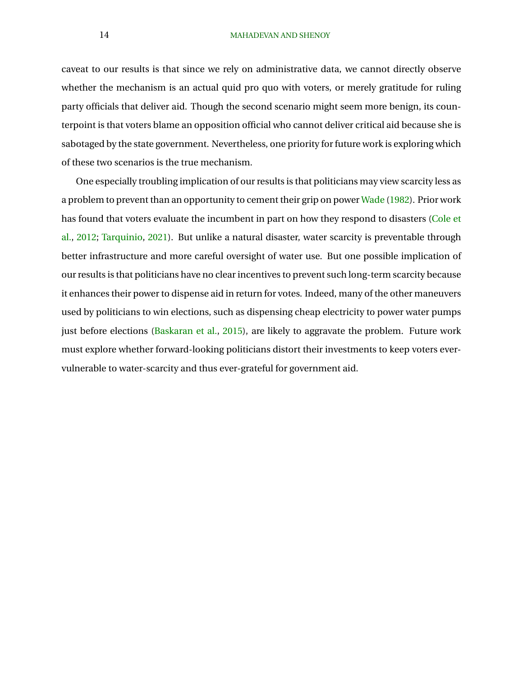#### 14 MAHADEVAN AND SHENOY

caveat to our results is that since we rely on administrative data, we cannot directly observe whether the mechanism is an actual quid pro quo with voters, or merely gratitude for ruling party officials that deliver aid. Though the second scenario might seem more benign, its counterpoint is that voters blame an opposition official who cannot deliver critical aid because she is sabotaged by the state government. Nevertheless, one priority for future work is exploring which of these two scenarios is the true mechanism.

One especially troubling implication of our results is that politicians may view scarcity less as a problem to prevent than an opportunity to cement their grip on power [Wade](#page-24-0) [\(1982\)](#page-24-0). Prior work has found that voters evaluate the incumbent in part on how they respond to disasters [\(Cole et](#page-21-0) [al.,](#page-21-0) [2012;](#page-21-0) [Tarquinio,](#page-24-0) [2021\)](#page-24-0). But unlike a natural disaster, water scarcity is preventable through better infrastructure and more careful oversight of water use. But one possible implication of our results is that politicians have no clear incentives to prevent such long-term scarcity because it enhances their power to dispense aid in return for votes. Indeed, many of the other maneuvers used by politicians to win elections, such as dispensing cheap electricity to power water pumps just before elections [\(Baskaran et al.,](#page-20-0) [2015\)](#page-20-0), are likely to aggravate the problem. Future work must explore whether forward-looking politicians distort their investments to keep voters evervulnerable to water-scarcity and thus ever-grateful for government aid.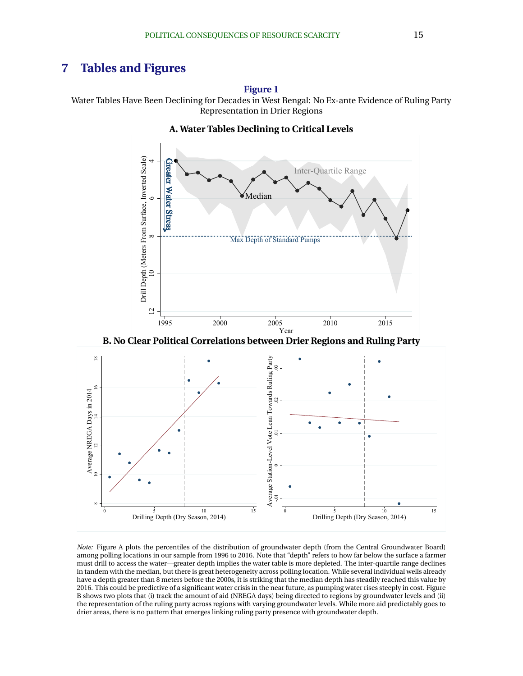# <span id="page-15-0"></span>**7 Tables and Figures**

**Figure 1**

Water Tables Have Been Declining for Decades in West Bengal: No Ex-ante Evidence of Ruling Party Representation in Drier Regions

### **A. Water Tables Declining to Critical Levels**





*Note:* Figure A plots the percentiles of the distribution of groundwater depth (from the Central Groundwater Board) among polling locations in our sample from 1996 to 2016. Note that "depth" refers to how far below the surface a farmer must drill to access the water—greater depth implies the water table is more depleted. The inter-quartile range declines in tandem with the median, but there is great heterogeneity across polling location. While several individual wells already have a depth greater than 8 meters before the 2000s, it is striking that the median depth has steadily reached this value by 2016. This could be predictive of a significant water crisis in the near future, as pumping water rises steeply in cost. Figure B shows two plots that (i) track the amount of aid (NREGA days) being directed to regions by groundwater levels and (ii) the representation of the ruling party across regions with varying groundwater levels. While more aid predictably goes to drier areas, there is no pattern that emerges linking ruling party presence with groundwater depth.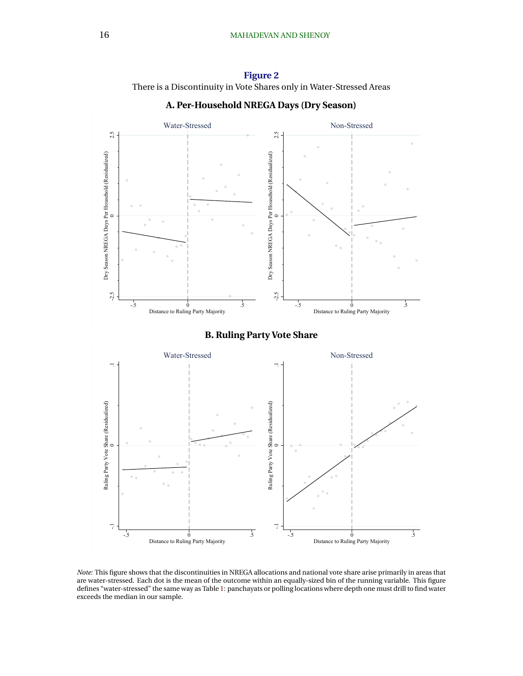<span id="page-16-0"></span>









*Note:* This figure shows that the discontinuities in NREGA allocations and national vote share arise primarily in areas that are water-stressed. Each dot is the mean of the outcome within an equally-sized bin of the running variable. This figure defines "water-stressed" the same way as Table [1:](#page-18-0) panchayats or polling locations where depth one must drill to find water exceeds the median in our sample.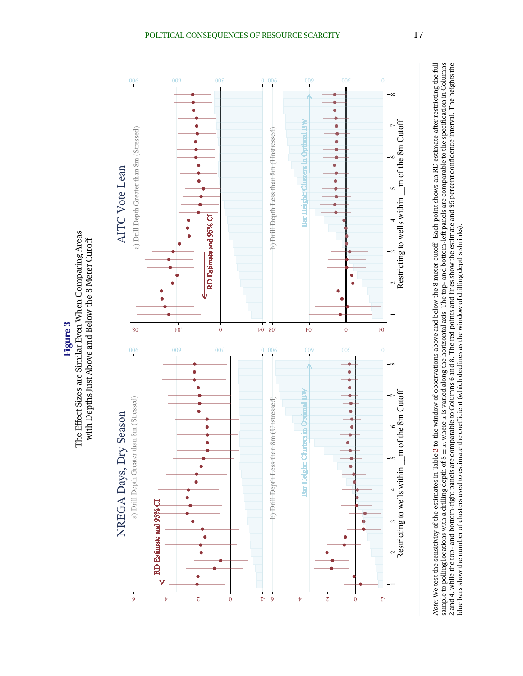<span id="page-17-0"></span>

*Note:* We test the sensitivity of the estimates in Table [2](#page-19-0) to the window of observations above and below the 8 meter cutoff. Each point shows an RD estimate after restricting the full sample to polling locations with a drilling depth of 8 ± x, where x is varied along the horizontal axis. The top- and bottom-left panels are comparable to the specification in Columns<br>2 and 4 while the specification in the 2 and 4, while the top- and bottom-right panels are comparable to Columns 6 and 8. The red points and lines show the estimate and 95 percent confidence interval. The heights the blue bars show the number of clusters used to estimate the coefficient (which declines as the window of drilling depths shrinks).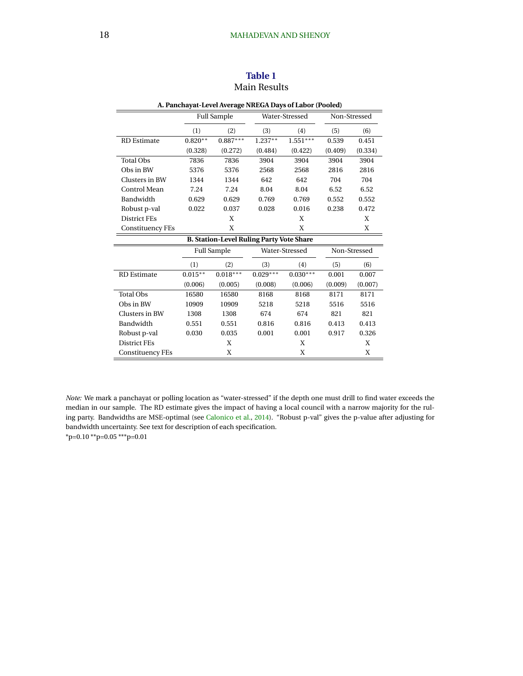<span id="page-18-0"></span>

| A. Panchayat-Level Average NREGA Days of Labor (Pooled) |            |                                                 |            |                |         |              |  |  |
|---------------------------------------------------------|------------|-------------------------------------------------|------------|----------------|---------|--------------|--|--|
|                                                         |            | <b>Full Sample</b>                              |            | Water-Stressed |         | Non-Stressed |  |  |
|                                                         | (1)        | (2)                                             | (3)        | (4)            | (5)     | (6)          |  |  |
| <b>RD</b> Estimate                                      | $0.820**$  | $0.887***$                                      | $1.237**$  | $1.551***$     | 0.539   | 0.451        |  |  |
|                                                         | (0.328)    | (0.272)                                         | (0.484)    | (0.422)        | (0.409) | (0.334)      |  |  |
| <b>Total Obs</b>                                        | 7836       | 7836                                            | 3904       | 3904           | 3904    | 3904         |  |  |
| Obs in BW                                               | 5376       | 5376                                            | 2568       | 2568           | 2816    | 2816         |  |  |
| Clusters in BW                                          | 1344       | 1344                                            | 642        | 642            | 704     | 704          |  |  |
| <b>Control Mean</b>                                     | 7.24       | 7.24                                            | 8.04       | 8.04           | 6.52    | 6.52         |  |  |
| Bandwidth                                               | 0.629      | 0.629                                           | 0.769      | 0.769          | 0.552   | 0.552        |  |  |
| Robust p-val                                            | 0.022      | 0.037                                           | 0.028      | 0.016          | 0.238   | 0.472        |  |  |
| <b>District FEs</b>                                     |            | X                                               |            | X              |         | X            |  |  |
| <b>Constituency FEs</b>                                 |            | X                                               |            | X              |         | X            |  |  |
|                                                         |            | <b>B. Station-Level Ruling Party Vote Share</b> |            |                |         |              |  |  |
|                                                         |            | <b>Full Sample</b>                              |            | Water-Stressed |         | Non-Stressed |  |  |
|                                                         | (1)        | (2)                                             | (3)        | (4)            | (5)     | (6)          |  |  |
| <b>RD</b> Estimate                                      | $0.015***$ | $0.018***$                                      | $0.029***$ | $0.030***$     | 0.001   | 0.007        |  |  |
|                                                         | (0.006)    | (0.005)                                         | (0.008)    | (0.006)        | (0.009) | (0.007)      |  |  |
| <b>Total Obs</b>                                        | 16580      | 16580                                           | 8168       | 8168           | 8171    | 8171         |  |  |
| Obs in BW                                               | 10909      | 10909                                           | 5218       | 5218           | 5516    | 5516         |  |  |
| Clusters in BW                                          | 1308       | 1308                                            | 674        | 674            | 821     | 821          |  |  |
| Bandwidth                                               | 0.551      | 0.551                                           | 0.816      | 0.816          | 0.413   | 0.413        |  |  |
| Robust p-val                                            | 0.030      | 0.035                                           | 0.001      | 0.001          | 0.917   | 0.326        |  |  |
| <b>District FEs</b>                                     |            | X                                               |            | X              |         | X            |  |  |
| <b>Constituency FEs</b>                                 |            | X                                               |            | X              |         | X            |  |  |

### **Table 1** Main Results

*Note:* We mark a panchayat or polling location as "water-stressed" if the depth one must drill to find water exceeds the median in our sample. The RD estimate gives the impact of having a local council with a narrow majority for the ruling party. Bandwidths are MSE-optimal (see [Calonico et al.,](#page-20-0) [2014\)](#page-20-0). "Robust p-val" gives the p-value after adjusting for bandwidth uncertainty. See text for description of each specification.

\*p=0.10 \*\*p=0.05 \*\*\*p=0.01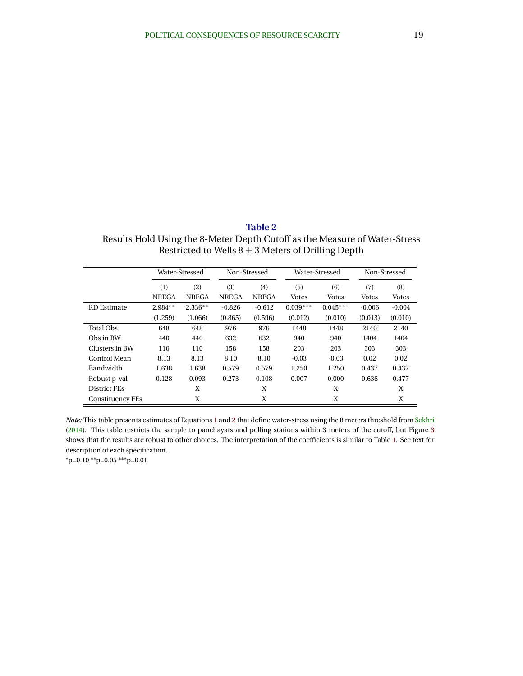<span id="page-19-0"></span>**Table 2** Results Hold Using the 8-Meter Depth Cutoff as the Measure of Water-Stress Restricted to Wells  $8 \pm 3$  Meters of Drilling Depth

|                         | Water-Stressed |              |              | Non-Stressed |              | Water-Stressed | Non-Stressed |              |
|-------------------------|----------------|--------------|--------------|--------------|--------------|----------------|--------------|--------------|
|                         | (1)<br>(2)     |              | (3)<br>(4)   |              | (5)          | (6)            | (7)          | (8)          |
|                         | <b>NREGA</b>   | <b>NREGA</b> | <b>NREGA</b> | <b>NREGA</b> | <b>Votes</b> | Votes          | <b>Votes</b> | <b>Votes</b> |
| <b>RD</b> Estimate      | $2.984**$      | $2.336**$    | $-0.826$     | $-0.612$     | $0.039***$   | $0.045***$     | $-0.006$     | $-0.004$     |
|                         | (1.259)        | (1.066)      | (0.865)      | (0.596)      | (0.012)      | (0.010)        | (0.013)      | (0.010)      |
| <b>Total Obs</b>        | 648            | 648          | 976          | 976          | 1448         | 1448           | 2140         | 2140         |
| Obs in BW               | 440            | 440          | 632          | 632          | 940          | 940            | 1404         | 1404         |
| Clusters in BW          | 110            | 110          | 158          | 158          | 203          | 203            | 303          | 303          |
| Control Mean            | 8.13           | 8.13         | 8.10         | 8.10         | $-0.03$      | $-0.03$        | 0.02         | 0.02         |
| Bandwidth               | 1.638          | 1.638        | 0.579        | 0.579        | 1.250        | 1.250          | 0.437        | 0.437        |
| Robust p-val            | 0.128          | 0.093        | 0.273        | 0.108        | 0.007        | 0.000          | 0.636        | 0.477        |
| <b>District FEs</b>     |                | X            |              | X            |              | X              |              | X            |
| <b>Constituency FEs</b> |                | X            |              | X            |              | X              |              | X            |

*Note:* This table presents estimates of Equations [1](#page-10-0) and [2](#page-11-0) that define water-stress using the 8 meters threshold from [Sekhri](#page-23-0) [\(2014\)](#page-23-0). This table restricts the sample to panchayats and polling stations within 3 meters of the cutoff, but Figure [3](#page-17-0) shows that the results are robust to other choices. The interpretation of the coefficients is similar to Table [1.](#page-18-0) See text for description of each specification.

\*p=0.10 \*\*p=0.05 \*\*\*p=0.01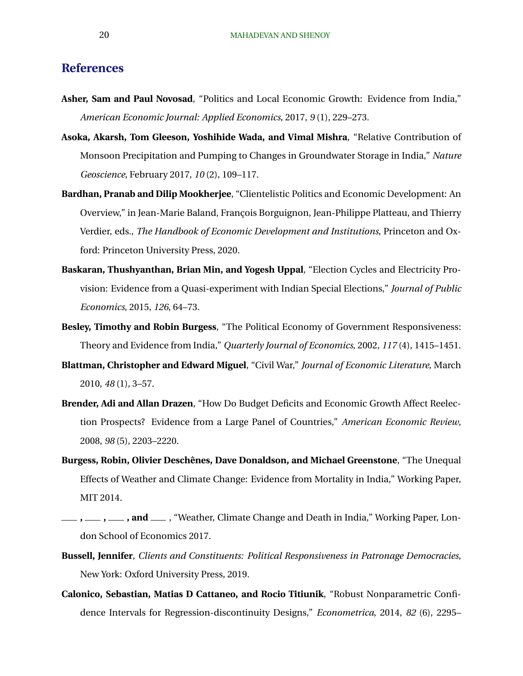# <span id="page-20-0"></span>**References**

- **Asher, Sam and Paul Novosad**, "Politics and Local Economic Growth: Evidence from India," *American Economic Journal: Applied Economics*, 2017, *9* (1), 229–273.
- **Asoka, Akarsh, Tom Gleeson, Yoshihide Wada, and Vimal Mishra**, "Relative Contribution of Monsoon Precipitation and Pumping to Changes in Groundwater Storage in India," *Nature Geoscience*, February 2017, *10* (2), 109–117.
- **Bardhan, Pranab and Dilip Mookherjee**, "Clientelistic Politics and Economic Development: An Overview," in Jean-Marie Baland, François Borguignon, Jean-Philippe Platteau, and Thierry Verdier, eds., *The Handbook of Economic Development and Institutions*, Princeton and Oxford: Princeton University Press, 2020.
- **Baskaran, Thushyanthan, Brian Min, and Yogesh Uppal**, "Election Cycles and Electricity Provision: Evidence from a Quasi-experiment with Indian Special Elections," *Journal of Public Economics*, 2015, *126*, 64–73.
- **Besley, Timothy and Robin Burgess**, "The Political Economy of Government Responsiveness: Theory and Evidence from India," *Quarterly Journal of Economics*, 2002, *117* (4), 1415–1451.
- **Blattman, Christopher and Edward Miguel**, "Civil War," *Journal of Economic Literature*, March 2010, *48* (1), 3–57.
- **Brender, Adi and Allan Drazen**, "How Do Budget Deficits and Economic Growth Affect Reelection Prospects? Evidence from a Large Panel of Countries," *American Economic Review*, 2008, *98* (5), 2203–2220.
- Burgess, Robin, Olivier Deschênes, Dave Donaldson, and Michael Greenstone, "The Unequal Effects of Weather and Climate Change: Evidence from Mortality in India," Working Paper, MIT 2014.
- **, , , and** , "Weather, Climate Change and Death in India," Working Paper, London School of Economics 2017.
- **Bussell, Jennifer**, *Clients and Constituents: Political Responsiveness in Patronage Democracies*, New York: Oxford University Press, 2019.
- **Calonico, Sebastian, Matias D Cattaneo, and Rocio Titiunik**, "Robust Nonparametric Confidence Intervals for Regression-discontinuity Designs," *Econometrica*, 2014, *82* (6), 2295–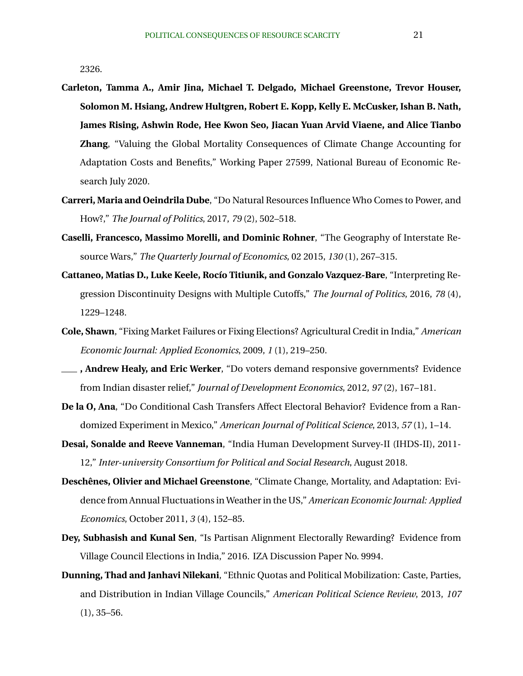<span id="page-21-0"></span>2326.

- **Carleton, Tamma A., Amir Jina, Michael T. Delgado, Michael Greenstone, Trevor Houser, Solomon M. Hsiang, Andrew Hultgren, Robert E. Kopp, Kelly E. McCusker, Ishan B. Nath, James Rising, Ashwin Rode, Hee Kwon Seo, Jiacan Yuan Arvid Viaene, and Alice Tianbo Zhang**, "Valuing the Global Mortality Consequences of Climate Change Accounting for Adaptation Costs and Benefits," Working Paper 27599, National Bureau of Economic Research July 2020.
- **Carreri, Maria and Oeindrila Dube**, "Do Natural Resources Influence Who Comes to Power, and How?," *The Journal of Politics*, 2017, *79* (2), 502–518.
- **Caselli, Francesco, Massimo Morelli, and Dominic Rohner**, "The Geography of Interstate Resource Wars," *The Quarterly Journal of Economics*, 02 2015, *130* (1), 267–315.
- **Cattaneo, Matias D., Luke Keele, Rocío Titiunik, and Gonzalo Vazquez-Bare**, "Interpreting Regression Discontinuity Designs with Multiple Cutoffs," *The Journal of Politics*, 2016, *78* (4), 1229–1248.
- **Cole, Shawn**, "Fixing Market Failures or Fixing Elections? Agricultural Credit in India," *American Economic Journal: Applied Economics*, 2009, *1* (1), 219–250.
- **, Andrew Healy, and Eric Werker**, "Do voters demand responsive governments? Evidence from Indian disaster relief," *Journal of Development Economics*, 2012, *97* (2), 167–181.
- **De la O, Ana**, "Do Conditional Cash Transfers Affect Electoral Behavior? Evidence from a Randomized Experiment in Mexico," *American Journal of Political Science*, 2013, *57* (1), 1–14.
- **Desai, Sonalde and Reeve Vanneman**, "India Human Development Survey-II (IHDS-II), 2011- 12," *Inter-university Consortium for Political and Social Research*, August 2018.
- **Deschênes, Olivier and Michael Greenstone**, "Climate Change, Mortality, and Adaptation: Evidence from Annual Fluctuations in Weather in the US," *American Economic Journal: Applied Economics*, October 2011, *3* (4), 152–85.
- **Dey, Subhasish and Kunal Sen**, "Is Partisan Alignment Electorally Rewarding? Evidence from Village Council Elections in India," 2016. IZA Discussion Paper No. 9994.
- **Dunning, Thad and Janhavi Nilekani**, "Ethnic Quotas and Political Mobilization: Caste, Parties, and Distribution in Indian Village Councils," *American Political Science Review*, 2013, *107*  $(1), 35 - 56.$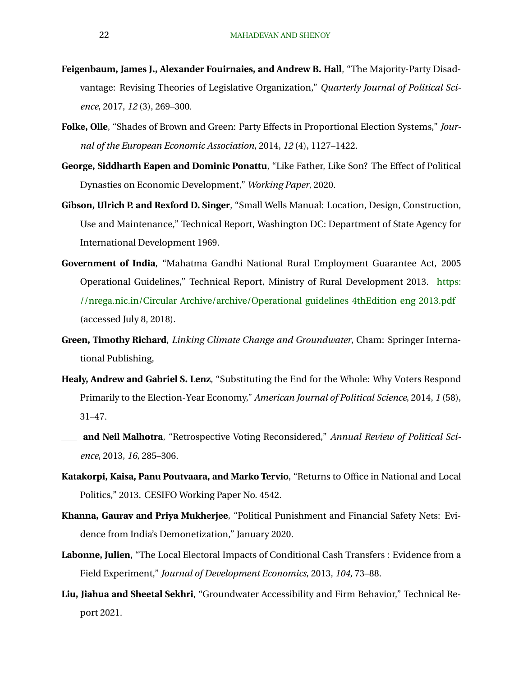- <span id="page-22-0"></span>**Feigenbaum, James J., Alexander Fouirnaies, and Andrew B. Hall**, "The Majority-Party Disadvantage: Revising Theories of Legislative Organization," *Quarterly Journal of Political Science*, 2017, *12* (3), 269–300.
- **Folke, Olle**, "Shades of Brown and Green: Party Effects in Proportional Election Systems," *Journal of the European Economic Association*, 2014, *12* (4), 1127–1422.
- **George, Siddharth Eapen and Dominic Ponattu**, "Like Father, Like Son? The Effect of Political Dynasties on Economic Development," *Working Paper*, 2020.
- **Gibson, Ulrich P. and Rexford D. Singer**, "Small Wells Manual: Location, Design, Construction, Use and Maintenance," Technical Report, Washington DC: Department of State Agency for International Development 1969.
- **Government of India**, "Mahatma Gandhi National Rural Employment Guarantee Act, 2005 Operational Guidelines," Technical Report, Ministry of Rural Development 2013. [https:](https://nrega.nic.in/Circular_Archive/archive/Operational_guidelines_4thEdition_eng_2013.pdf) //nrega.nic.in/Circular [Archive/archive/Operational](https://nrega.nic.in/Circular_Archive/archive/Operational_guidelines_4thEdition_eng_2013.pdf) guidelines 4thEdition eng 2013.pdf (accessed July 8, 2018).
- **Green, Timothy Richard**, *Linking Climate Change and Groundwater*, Cham: Springer International Publishing,
- **Healy, Andrew and Gabriel S. Lenz**, "Substituting the End for the Whole: Why Voters Respond Primarily to the Election-Year Economy," *American Journal of Political Science*, 2014, *1* (58), 31–47.
- **and Neil Malhotra**, "Retrospective Voting Reconsidered," *Annual Review of Political Science*, 2013, *16*, 285–306.
- **Katakorpi, Kaisa, Panu Poutvaara, and Marko Tervio**, "Returns to Office in National and Local Politics," 2013. CESIFO Working Paper No. 4542.
- **Khanna, Gaurav and Priya Mukherjee**, "Political Punishment and Financial Safety Nets: Evidence from India's Demonetization," January 2020.
- **Labonne, Julien**, "The Local Electoral Impacts of Conditional Cash Transfers : Evidence from a Field Experiment," *Journal of Development Economics*, 2013, *104*, 73–88.
- **Liu, Jiahua and Sheetal Sekhri**, "Groundwater Accessibility and Firm Behavior," Technical Report 2021.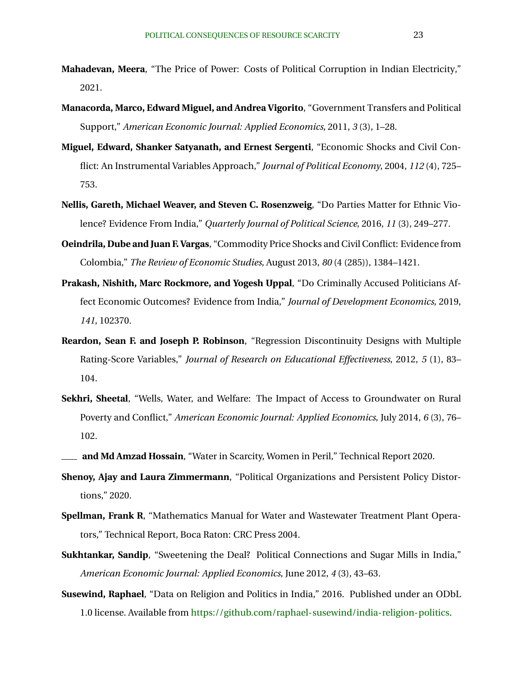- <span id="page-23-0"></span>**Mahadevan, Meera**, "The Price of Power: Costs of Political Corruption in Indian Electricity," 2021.
- **Manacorda, Marco, Edward Miguel, and Andrea Vigorito**, "Government Transfers and Political Support," *American Economic Journal: Applied Economics*, 2011, *3* (3), 1–28.
- **Miguel, Edward, Shanker Satyanath, and Ernest Sergenti**, "Economic Shocks and Civil Conflict: An Instrumental Variables Approach," *Journal of Political Economy*, 2004, *112* (4), 725– 753.
- **Nellis, Gareth, Michael Weaver, and Steven C. Rosenzweig**, "Do Parties Matter for Ethnic Violence? Evidence From India," *Quarterly Journal of Political Science*, 2016, *11* (3), 249–277.
- **Oeindrila, Dube and Juan F. Vargas**, "Commodity Price Shocks and Civil Conflict: Evidence from Colombia," *The Review of Economic Studies*, August 2013, *80* (4 (285)), 1384–1421.
- **Prakash, Nishith, Marc Rockmore, and Yogesh Uppal**, "Do Criminally Accused Politicians Affect Economic Outcomes? Evidence from India," *Journal of Development Economics*, 2019, *141*, 102370.
- **Reardon, Sean F. and Joseph P. Robinson**, "Regression Discontinuity Designs with Multiple Rating-Score Variables," *Journal of Research on Educational Effectiveness*, 2012, *5* (1), 83– 104.
- **Sekhri, Sheetal**, "Wells, Water, and Welfare: The Impact of Access to Groundwater on Rural Poverty and Conflict," *American Economic Journal: Applied Economics*, July 2014, *6* (3), 76– 102.
- **and Md Amzad Hossain**, "Water in Scarcity, Women in Peril," Technical Report 2020.
- **Shenoy, Ajay and Laura Zimmermann**, "Political Organizations and Persistent Policy Distortions," 2020.
- **Spellman, Frank R**, "Mathematics Manual for Water and Wastewater Treatment Plant Operators," Technical Report, Boca Raton: CRC Press 2004.
- **Sukhtankar, Sandip**, "Sweetening the Deal? Political Connections and Sugar Mills in India," *American Economic Journal: Applied Economics*, June 2012, *4* (3), 43–63.
- **Susewind, Raphael**, "Data on Religion and Politics in India," 2016. Published under an ODbL 1.0 license. Available from [https://github.com/raphael-susewind/india-religion-politics.](https://github.com/raphael-susewind/india-religion-politics)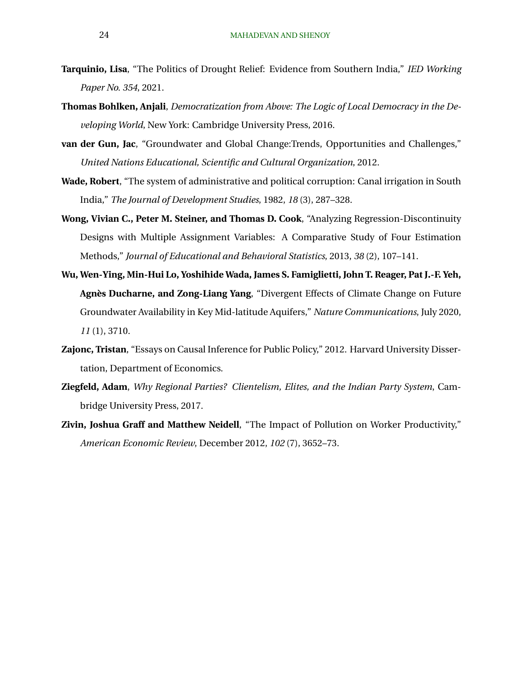- <span id="page-24-0"></span>**Tarquinio, Lisa**, "The Politics of Drought Relief: Evidence from Southern India," *IED Working Paper No. 354*, 2021.
- **Thomas Bohlken, Anjali**, *Democratization from Above: The Logic of Local Democracy in the Developing World*, New York: Cambridge University Press, 2016.
- **van der Gun, Jac**, "Groundwater and Global Change:Trends, Opportunities and Challenges," *United Nations Educational, Scientific and Cultural Organization*, 2012.
- **Wade, Robert**, "The system of administrative and political corruption: Canal irrigation in South India," *The Journal of Development Studies*, 1982, *18* (3), 287–328.
- **Wong, Vivian C., Peter M. Steiner, and Thomas D. Cook**, "Analyzing Regression-Discontinuity Designs with Multiple Assignment Variables: A Comparative Study of Four Estimation Methods," *Journal of Educational and Behavioral Statistics*, 2013, *38* (2), 107–141.
- **Wu, Wen-Ying, Min-Hui Lo, Yoshihide Wada, James S. Famiglietti, John T. Reager, Pat J.-F. Yeh, Agnes Ducharne, and Zong-Liang Yang `** , "Divergent Effects of Climate Change on Future Groundwater Availability in Key Mid-latitude Aquifers," *Nature Communications*, July 2020, *11* (1), 3710.
- **Zajonc, Tristan**, "Essays on Causal Inference for Public Policy," 2012. Harvard University Dissertation, Department of Economics.
- **Ziegfeld, Adam**, *Why Regional Parties? Clientelism, Elites, and the Indian Party System*, Cambridge University Press, 2017.
- **Zivin, Joshua Graff and Matthew Neidell**, "The Impact of Pollution on Worker Productivity," *American Economic Review*, December 2012, *102* (7), 3652–73.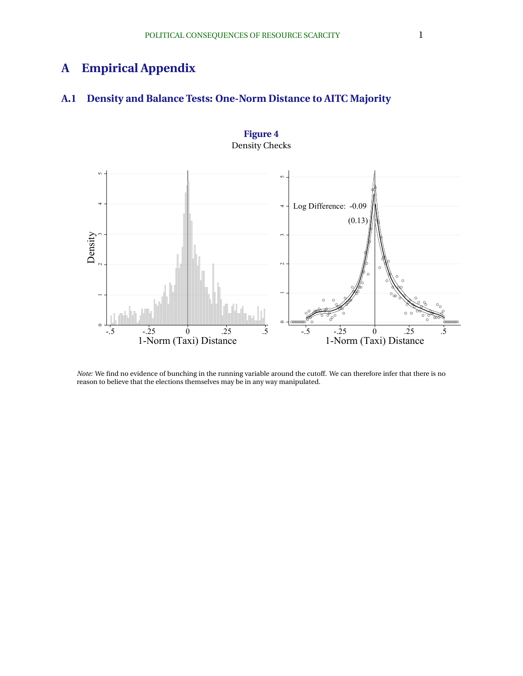# **A Empirical Appendix**

# **A.1 Density and Balance Tests: One-Norm Distance to AITC Majority**



**Figure 4** Density Checks

*Note:* We find no evidence of bunching in the running variable around the cutoff. We can therefore infer that there is no reason to believe that the elections themselves may be in any way manipulated.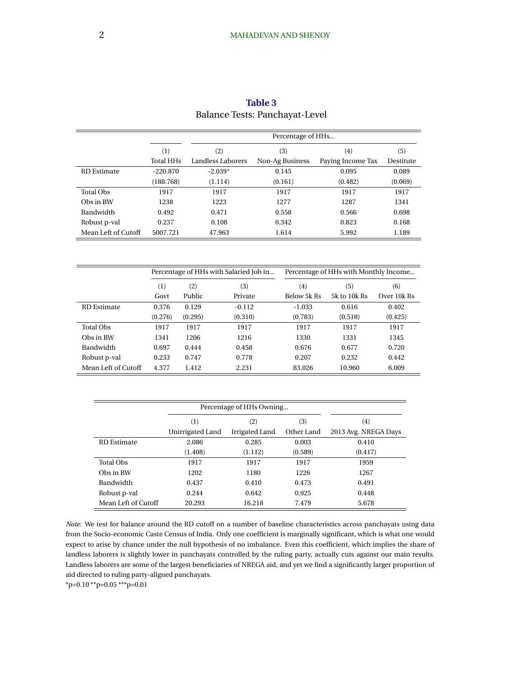|                     |                  |         | Percentage of HHs                      |  |                                       |                   |             |  |
|---------------------|------------------|---------|----------------------------------------|--|---------------------------------------|-------------------|-------------|--|
|                     | (1)              |         | (2)                                    |  | (3)                                   | (4)               | (5)         |  |
|                     | <b>Total HHs</b> |         | <b>Landless Laborers</b>               |  | Non-Ag Business                       | Paying Income Tax | Destitute   |  |
| <b>RD</b> Estimate  | $-220.870$       |         | $-2.039*$                              |  | 0.145                                 | 0.095             | 0.089       |  |
|                     | (188.768)        |         | (1.114)                                |  | (0.161)                               | (0.482)           | (0.069)     |  |
| <b>Total Obs</b>    | 1917             |         | 1917                                   |  | 1917                                  | 1917              | 1917        |  |
| Obs in BW           | 1238             |         | 1223                                   |  | 1277                                  | 1287              | 1341        |  |
| Bandwidth           | 0.492            |         | 0.471                                  |  | 0.558                                 | 0.566             | 0.698       |  |
| Robust p-val        | 0.237            |         | 0.108                                  |  | 0.342                                 | 0.823             | 0.168       |  |
| Mean Left of Cutoff | 5007.721         |         | 47.963                                 |  | 1.614                                 | 5.992             | 1.189       |  |
|                     |                  |         |                                        |  |                                       |                   |             |  |
|                     |                  |         | Percentage of HHs with Salaried Job in |  | Percentage of HHs with Monthly Income |                   |             |  |
|                     | (1)              | (2)     | (3)                                    |  | (4)                                   | (5)               | (6)         |  |
|                     | Govt             | Public  | Private                                |  | Below 5k Rs                           | 5k to 10k Rs      | Over 10k Rs |  |
| <b>RD</b> Estimate  | 0.376            | 0.129   | $-0.112$                               |  | $-1.033$                              | 0.616             | 0.402       |  |
|                     | (0.276)          | (0.295) | (0.310)                                |  | (0.783)                               | (0.518)           | (0.425)     |  |
| <b>Total Obs</b>    | 1917             | 1917    | 1917                                   |  | 1917                                  | 1917              | 1917        |  |
| Obs in BW           | 1341             | 1206    | 1216                                   |  | 1330                                  | 1331              | 1345        |  |
| Bandwidth           | 0.697            | 0.444   | 0.458                                  |  | 0.676                                 | 0.677             | 0.720       |  |
| Robust p-val        | 0.233            | 0.747   | 0.778                                  |  | 0.207                                 | 0.232             | 0.442       |  |
| Mean Left of Cutoff | 4.377            | 1.412   | 2.231                                  |  | 83.026                                | 10.960            | 6.009       |  |
|                     |                  |         |                                        |  |                                       |                   |             |  |

| Table 3                        |
|--------------------------------|
| Balance Tests: Panchayat-Level |

|                     |                  | Percentage of HHs Owning |            |                      |
|---------------------|------------------|--------------------------|------------|----------------------|
|                     | (1)              | (3)<br>(2)               |            | (4)                  |
|                     | Unirrigated Land | Irrigated Land           | Other Land | 2013 Avg. NREGA Days |
| <b>RD</b> Estimate  | 2.086            | 0.285                    | 0.003      | 0.410                |
|                     | (1.408)          | (1.112)                  | (0.589)    | (0.417)              |
| <b>Total Obs</b>    | 1917             | 1917                     | 1917       | 1959                 |
| Obs in BW           | 1202             | 1180                     | 1226       | 1267                 |
| <b>Bandwidth</b>    | 0.437            | 0.410                    | 0.473      | 0.491                |
| Robust p-val        | 0.244            | 0.642                    | 0.925      | 0.448                |
| Mean Left of Cutoff | 20.293           | 16.218                   | 7.479      | 5.678                |

*Note:* We test for balance around the RD cutoff on a number of baseline characteristics across panchayats using data from the Socio-economic Caste Census of India. Only one coefficient is marginally significant, which is what one would expect to arise by chance under the null hypothesis of no imbalance. Even this coefficient, which implies the share of landless laborers is slightly lower in panchayats controlled by the ruling party, actually cuts against our main results. Landless laborers are some of the largest beneficiaries of NREGA aid, and yet we find a significantly larger proportion of aid directed to ruling party-aligned panchayats.

\*p=0.10 \*\*p=0.05 \*\*\*p=0.01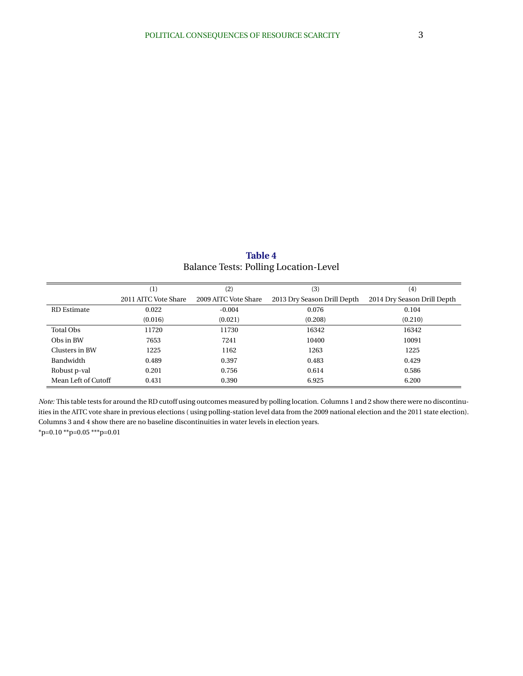**Table 4** Balance Tests: Polling Location-Level

|                     | (1)                  | (2)                  | (3)                         | (4)                         |
|---------------------|----------------------|----------------------|-----------------------------|-----------------------------|
|                     | 2011 AITC Vote Share | 2009 AITC Vote Share | 2013 Dry Season Drill Depth | 2014 Dry Season Drill Depth |
| <b>RD</b> Estimate  | 0.022                | $-0.004$             | 0.076                       | 0.104                       |
|                     | (0.016)              | (0.021)              | (0.208)                     | (0.210)                     |
| Total Obs           | 11720                | 11730                | 16342                       | 16342                       |
| Obs in BW           | 7653                 | 7241                 | 10400                       | 10091                       |
| Clusters in BW      | 1225                 | 1162                 | 1263                        | 1225                        |
| Bandwidth           | 0.489                | 0.397                | 0.483                       | 0.429                       |
| Robust p-val        | 0.201                | 0.756                | 0.614                       | 0.586                       |
| Mean Left of Cutoff | 0.431                | 0.390                | 6.925                       | 6.200                       |

*Note:* This table tests for around the RD cutoff using outcomes measured by polling location. Columns 1 and 2 show there were no discontinuities in the AITC vote share in previous elections ( using polling-station level data from the 2009 national election and the 2011 state election). Columns 3 and 4 show there are no baseline discontinuities in water levels in election years.  $*p=0.10 **p=0.05 **p=0.01$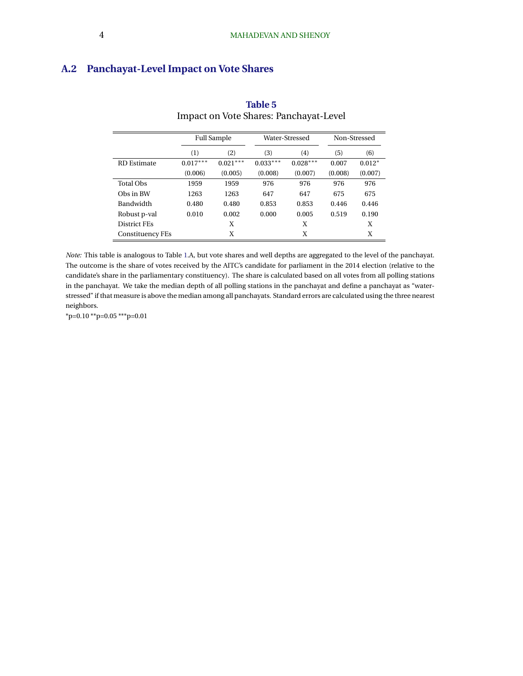# **A.2 Panchayat-Level Impact on Vote Shares**

|                     | <b>Full Sample</b> |            |            | Water-Stressed | Non-Stressed |          |
|---------------------|--------------------|------------|------------|----------------|--------------|----------|
|                     | (1)                | (2)        | (3)        | (4)            | (5)          | (6)      |
| <b>RD</b> Estimate  | $0.017***$         | $0.021***$ | $0.033***$ | $0.028***$     | 0.007        | $0.012*$ |
|                     | (0.006)            | (0.005)    | (0.008)    | (0.007)        | (0.008)      | (0.007)  |
| <b>Total Obs</b>    | 1959               | 1959       | 976        | 976            | 976          | 976      |
| Obs in BW           | 1263               | 1263       | 647        | 647            | 675          | 675      |
| Bandwidth           | 0.480              | 0.480      | 0.853      | 0.853          | 0.446        | 0.446    |
| Robust p-val        | 0.010              | 0.002      | 0.000      | 0.005          | 0.519        | 0.190    |
| <b>District FEs</b> |                    | X          |            | X              |              | X        |
| Constituency FEs    |                    | X          |            | Χ              |              | X        |

# **Table 5** Impact on Vote Shares: Panchayat-Level

*Note:* This table is analogous to Table [1.](#page-18-0)A, but vote shares and well depths are aggregated to the level of the panchayat. The outcome is the share of votes received by the AITC's candidate for parliament in the 2014 election (relative to the candidate's share in the parliamentary constituency). The share is calculated based on all votes from all polling stations in the panchayat. We take the median depth of all polling stations in the panchayat and define a panchayat as "waterstressed" if that measure is above the median among all panchayats. Standard errors are calculated using the three nearest neighbors.

\*p=0.10 \*\*p=0.05 \*\*\*p=0.01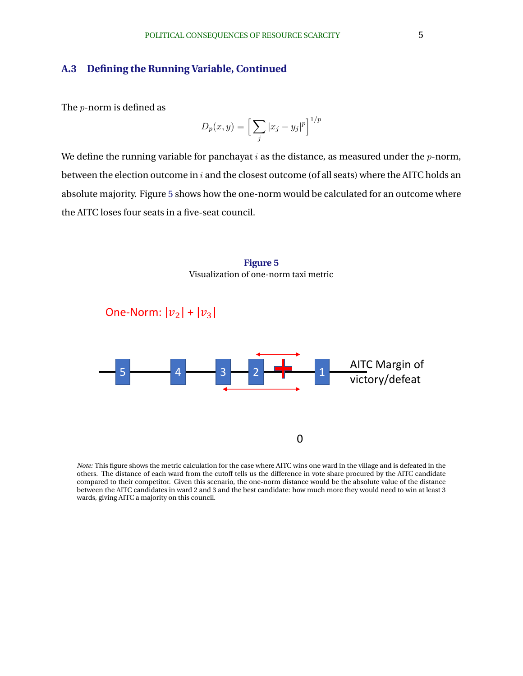### <span id="page-29-0"></span>**A.3 Defining the Running Variable, Continued**

The p-norm is defined as

$$
D_p(x,y) = \left[\sum_j |x_j - y_j|^p\right]^{1/p}
$$

We define the running variable for panchayat  $i$  as the distance, as measured under the  $p$ -norm, between the election outcome in  $i$  and the closest outcome (of all seats) where the AITC holds an absolute majority. Figure 5 shows how the one-norm would be calculated for an outcome where the AITC loses four seats in a five-seat council.

> **Figure 5** Visualization of one-norm taxi metric



*Note:* This figure shows the metric calculation for the case where AITC wins one ward in the village and is defeated in the others. The distance of each ward from the cutoff tells us the difference in vote share procured by the AITC candidate compared to their competitor. Given this scenario, the one-norm distance would be the absolute value of the distance between the AITC candidates in ward 2 and 3 and the best candidate: how much more they would need to win at least 3 wards, giving AITC a majority on this council.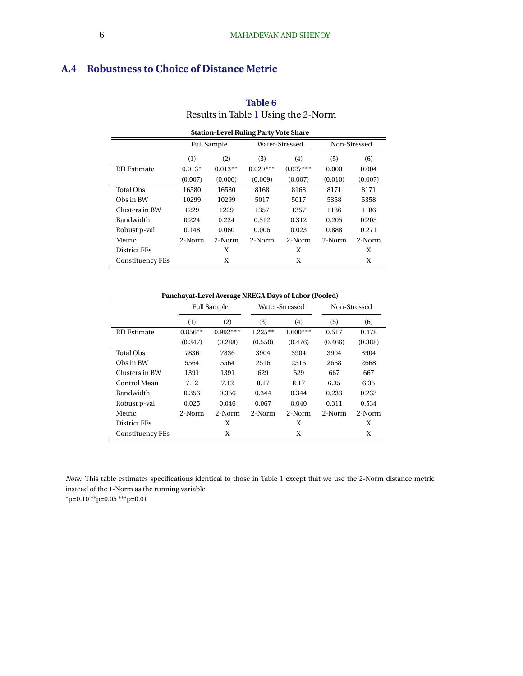# **A.4 Robustness to Choice of Distance Metric**

| <b>Station-Level Ruling Party Vote Share</b> |                    |           |            |                |              |         |  |  |
|----------------------------------------------|--------------------|-----------|------------|----------------|--------------|---------|--|--|
|                                              | <b>Full Sample</b> |           |            | Water-Stressed | Non-Stressed |         |  |  |
|                                              | (1)                | (2)       | (3)        | (4)            | (5)          | (6)     |  |  |
| <b>RD</b> Estimate                           | $0.013*$           | $0.013**$ | $0.029***$ | $0.027***$     | 0.000        | 0.004   |  |  |
|                                              | (0.007)            | (0.006)   | (0.009)    | (0.007)        | (0.010)      | (0.007) |  |  |
| <b>Total Obs</b>                             | 16580              | 16580     | 8168       | 8168           | 8171         | 8171    |  |  |
| Obs in BW                                    | 10299              | 10299     | 5017       | 5017           | 5358         | 5358    |  |  |
| Clusters in BW                               | 1229               | 1229      | 1357       | 1357           | 1186         | 1186    |  |  |
| <b>Bandwidth</b>                             | 0.224              | 0.224     | 0.312      | 0.312          | 0.205        | 0.205   |  |  |
| Robust p-val                                 | 0.148              | 0.060     | 0.006      | 0.023          | 0.888        | 0.271   |  |  |
| Metric                                       | 2-Norm             | 2-Norm    | 2-Norm     | 2-Norm         | 2-Norm       | 2-Norm  |  |  |
| District FEs                                 |                    | X         |            | X              |              | X       |  |  |
| Constituency FEs                             |                    | X         |            | X              |              | X       |  |  |

## **Table 6** Results in Table [1](#page-18-0) Using the 2-Norm

#### **Panchayat-Level Average NREGA Days of Labor (Pooled)**

|                         | r ancha partie de l'ancha de l'altres de la postagne de la conca) |                    |           |                |              |         |  |  |  |
|-------------------------|-------------------------------------------------------------------|--------------------|-----------|----------------|--------------|---------|--|--|--|
|                         |                                                                   | <b>Full Sample</b> |           | Water-Stressed | Non-Stressed |         |  |  |  |
|                         | (1)                                                               | (2)                | (3)       | (4)            | (5)          | (6)     |  |  |  |
| <b>RD</b> Estimate      | $0.856**$                                                         | $0.992***$         | $1.225**$ | $1.600***$     | 0.517        | 0.478   |  |  |  |
|                         | (0.347)                                                           | (0.288)            | (0.550)   | (0.476)        | (0.466)      | (0.388) |  |  |  |
| <b>Total Obs</b>        | 7836                                                              | 7836               | 3904      | 3904           | 3904         | 3904    |  |  |  |
| Obs in BW               | 5564                                                              | 5564               | 2516      | 2516           | 2668         | 2668    |  |  |  |
| Clusters in BW          | 1391                                                              | 1391               | 629       | 629            | 667          | 667     |  |  |  |
| Control Mean            | 7.12                                                              | 7.12               | 8.17      | 8.17           | 6.35         | 6.35    |  |  |  |
| Bandwidth               | 0.356                                                             | 0.356              | 0.344     | 0.344          | 0.233        | 0.233   |  |  |  |
| Robust p-val            | 0.025                                                             | 0.046              | 0.067     | 0.040          | 0.311        | 0.534   |  |  |  |
| Metric                  | 2-Norm                                                            | 2-Norm             | 2-Norm    | 2-Norm         | 2-Norm       | 2-Norm  |  |  |  |
| District FEs            |                                                                   | X                  |           | X              |              | X       |  |  |  |
| <b>Constituency FEs</b> |                                                                   | Χ                  |           | Χ              |              | Χ       |  |  |  |

*Note:* This table estimates specifications identical to those in Table [1](#page-18-0) except that we use the 2-Norm distance metric instead of the 1-Norm as the running variable.

\*p=0.10 \*\*p=0.05 \*\*\*p=0.01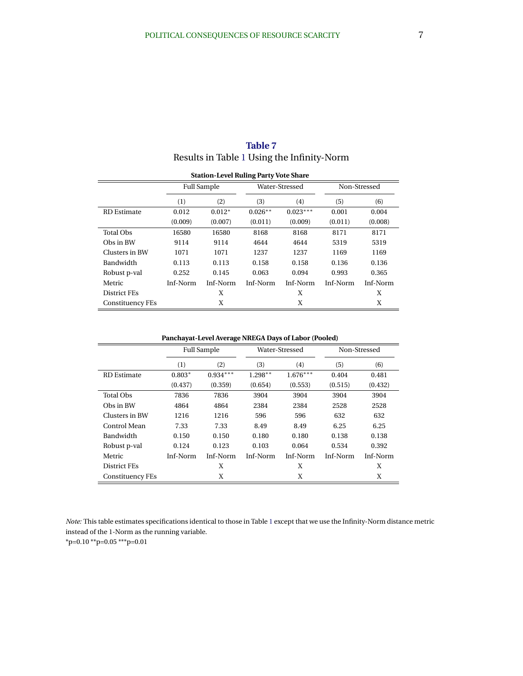| <b>Station-Level Ruling Party Vote Share</b> |          |                    |           |                |              |          |  |
|----------------------------------------------|----------|--------------------|-----------|----------------|--------------|----------|--|
|                                              |          | <b>Full Sample</b> |           | Water-Stressed | Non-Stressed |          |  |
|                                              | (1)      | (2)                | (3)       | (4)            | (5)          | (6)      |  |
| <b>RD</b> Estimate                           | 0.012    | $0.012*$           | $0.026**$ | $0.023***$     | 0.001        | 0.004    |  |
|                                              | (0.009)  | (0.007)            | (0.011)   | (0.009)        | (0.011)      | (0.008)  |  |
| <b>Total Obs</b>                             | 16580    | 16580              | 8168      | 8168           | 8171         | 8171     |  |
| Obs in BW                                    | 9114     | 9114               | 4644      | 4644           | 5319         | 5319     |  |
| Clusters in BW                               | 1071     | 1071               | 1237      | 1237           | 1169         | 1169     |  |
| Bandwidth                                    | 0.113    | 0.113              | 0.158     | 0.158          | 0.136        | 0.136    |  |
| Robust p-val                                 | 0.252    | 0.145              | 0.063     | 0.094          | 0.993        | 0.365    |  |
| Metric                                       | Inf-Norm | Inf-Norm           | Inf-Norm  | Inf-Norm       | Inf-Norm     | Inf-Norm |  |
| <b>District FEs</b>                          |          | X                  |           | X              |              | X        |  |
| Constituency FEs                             |          | X                  |           | X              |              | X        |  |

**Table 7** Results in Table [1](#page-18-0) Using the Infinity-Norm

**Panchayat-Level Average NREGA Days of Labor (Pooled)**

|                    | <b>Full Sample</b> |            |           | Water-Stressed |          | Non-Stressed |
|--------------------|--------------------|------------|-----------|----------------|----------|--------------|
|                    | (1)                | (2)        | (3)       | (4)            | (5)      | (6)          |
| <b>RD</b> Estimate | $0.803*$           | $0.934***$ | $1.298**$ | $1.676***$     | 0.404    | 0.481        |
|                    | (0.437)            | (0.359)    | (0.654)   | (0.553)        | (0.515)  | (0.432)      |
| <b>Total Obs</b>   | 7836               | 7836       | 3904      | 3904           | 3904     | 3904         |
| Obs in BW          | 4864               | 4864       | 2384      | 2384           | 2528     | 2528         |
| Clusters in BW     | 1216               | 1216       | 596       | 596            | 632      | 632          |
| Control Mean       | 7.33               | 7.33       | 8.49      | 8.49           | 6.25     | 6.25         |
| Bandwidth          | 0.150              | 0.150      | 0.180     | 0.180          | 0.138    | 0.138        |
| Robust p-val       | 0.124              | 0.123      | 0.103     | 0.064          | 0.534    | 0.392        |
| Metric             | Inf-Norm           | Inf-Norm   | Inf-Norm  | Inf-Norm       | Inf-Norm | Inf-Norm     |
| District FEs       |                    | X          |           | X              |          | X            |
| Constituency FEs   |                    | X          |           | X              |          | X            |

*Note:* This table estimates specifications identical to those in Table [1](#page-18-0) except that we use the Infinity-Norm distance metric instead of the 1-Norm as the running variable.

 $*p=0.10 **p=0.05 **p=0.01$